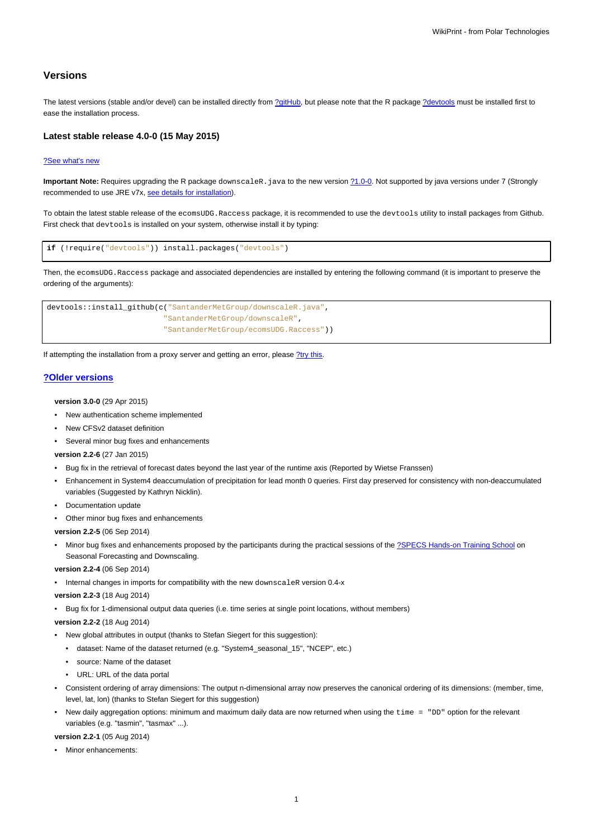# **Versions**

The latest versions (stable and/or devel) can be installed directly from [?gitHub,](https://github.com/SantanderMetGroup/ecomsUDG.Raccess) but please note that the R package [?devtools](http://cran.r-project.org/web/packages/devtools/index.html) must be installed first to ease the installation process.

### **Latest stable release 4.0-0 (15 May 2015)**

#### [?See what's new](https://github.com/SantanderMetGroup/ecomsUDG.Raccess/releases)

**Important Note:** Requires upgrading the R package downscaleR. java to the new version [?1.0-0](https://github.com/SantanderMetGroup/downscaleR.java). Not supported by java versions under 7 (Strongly recommended to use JRE v7x, [see details for installation](https://meteo.unican.es/trac/wiki/udg/ecoms/RPackage/prerequisites)).

To obtain the latest stable release of the ecomsUDG.Raccess package, it is recommended to use the devtools utility to install packages from Github. First check that devtools is installed on your system, otherwise install it by typing:

```
if (!require("devtools")) install.packages("devtools")
```
Then, the ecomsUDG.Raccess package and associated dependencies are installed by entering the following command (it is important to preserve the ordering of the arguments):

```
devtools::install_github(c("SantanderMetGroup/downscaleR.java",
              "SantanderMetGroup/downscaleR",
              "SantanderMetGroup/ecomsUDG.Raccess"))
```
If attempting the installation from a proxy server and getting an error, please [?try this.](http://meteo.unican.es/trac/wiki/udg/ecoms/RPackage/setup_proxy)

## **[?Older versions](https://github.com/SantanderMetGroup/ecomsUDG.Raccess/releases)**

**version 3.0-0** (29 Apr 2015)

- New authentication scheme implemented
- New CFSv2 dataset definition
- Several minor bug fixes and enhancements

**version 2.2-6** (27 Jan 2015)

- Bug fix in the retrieval of forecast dates beyond the last year of the runtime axis (Reported by Wietse Franssen)
- Enhancement in System4 deaccumulation of precipitation for lead month 0 queries. First day preserved for consistency with non-deaccumulated variables (Suggested by Kathryn Nicklin).
- Documentation update
- Other minor bug fixes and enhancements

**version 2.2-5** (06 Sep 2014)

Minor bug fixes and enhancements proposed by the participants during the practical sessions of the [?SPECS Hands-on Training School](http://www.meteo.unican.es/projects/specs/workshop2014) on Seasonal Forecasting and Downscaling.

**version 2.2-4** (06 Sep 2014)

• Internal changes in imports for compatibility with the new downscaleR version 0.4-x

**version 2.2-3** (18 Aug 2014)

• Bug fix for 1-dimensional output data queries (i.e. time series at single point locations, without members)

**version 2.2-2** (18 Aug 2014)

- New global attributes in output (thanks to Stefan Siegert for this suggestion):
	- dataset: Name of the dataset returned (e.g. "System4\_seasonal\_15", "NCEP", etc.)
	- source: Name of the dataset
	- URL: URL of the data portal
- Consistent ordering of array dimensions: The output n-dimensional array now preserves the canonical ordering of its dimensions: (member, time, level, lat, lon) (thanks to Stefan Siegert for this suggestion)
- New daily aggregation options: minimum and maximum daily data are now returned when using the time = "DD" option for the relevant variables (e.g. "tasmin", "tasmax" ...).

**version 2.2-1** (05 Aug 2014)

• Minor enhancements: